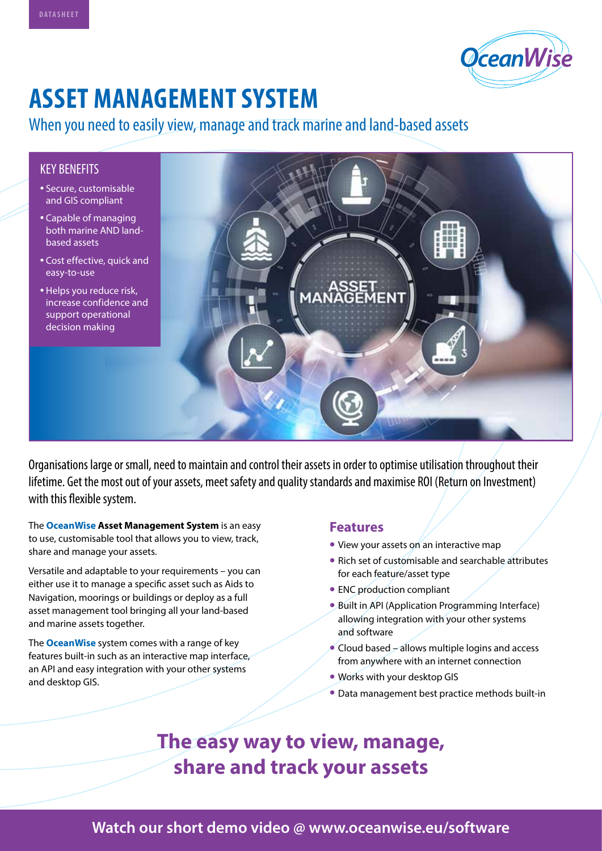

# **ASSET MANAGEMENT SYSTEM**

## When you need to easily view, manage and track marine and land-based assets

#### KEY BENEFITS

- Secure, customisable and GIS compliant
- Capable of managing both marine AND landbased assets
- Cost effective, quick and easy-to-use
- Helps you reduce risk, increase confidence and support operational decision making



Organisations large or small, need to maintain and control their assets in order to optimise utilisation throughout their lifetime. Get the most out of your assets, meet safety and quality standards and maximise ROI (Return on Investment) with this flexible system.

The **OceanWise Asset Management System** is an easy to use, customisable tool that allows you to view, track, share and manage your assets.

Versatile and adaptable to your requirements – you can either use it to manage a specific asset such as Aids to Navigation, moorings or buildings or deploy as a full asset management tool bringing all your land-based and marine assets together.

The **OceanWise** system comes with a range of key features built-in such as an interactive map interface, an API and easy integration with your other systems and desktop GIS.

### **Features**

- **•** View your assets on an interactive map
- **•** Rich set of customisable and searchable attributes for each feature/asset type
- **•** ENC production compliant
- **•** Built in API (Application Programming Interface) allowing integration with your other systems and software
- **•** Cloud based allows multiple logins and access from anywhere with an internet connection
- **•** Works with your desktop GIS
- **•** Data management best practice methods built-in

## **The easy way to view, manage, share and track your assets**